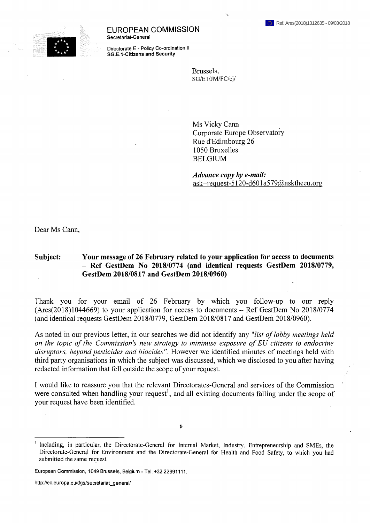

## EUROPEAN COMMISSION Secretariat-General

Directorate E - Policy Co-ordination II SG.E.1-Citizens and Security

> Brussels, **SG/El/JM/FC/cj/**

Ms Vicky Cann Corporate Europe Observatory Rue d'Edimbourg 26 1050 Bruxelles BELGIUM

*Advance copy by e-mail:* ask+request-5120-d601 [a579@asktheeu.org](mailto:xxxx@xxxxxxxx.xxx)

Dear Ms Cann,

## **Subject: Your message of 26 February related to your application for access to documents - Ref GestDem No 2018/0774 (and identical requests GestDem 2018/0779, GestDem 2018/0817 and GestDem 2018/0960)**

Thank you for your email of 26 February by which you follow-up to our reply  $(Ares(2018)1044669)$  to your application for access to documents – Ref GestDem No 2018/0774 (and identical requests GestDem 2018/0779, GestDem 2018/0817 and GestDem 2018/0960).

As noted in our previous letter, in our searches we did not identify any *"list oflobby meetings held on the topic of the Commission's new strategy to minimise exposure ofEU citizens to endocrine disruptors, beyond pesticides and biocides".* However we identified minutes of meetings held with third party organisations in which the subject was discussed, which we disclosed to you after having redacted information that fell outside the scope of your request.

I would like to reassure you that the relevant Directorates-General and services ofthe Commission were consulted when handling your request<sup>1</sup>, and all existing documents falling under the scope of your request have been identified.

**\$**

[http://ec.europa.eu/dgs/secretariat\\_general/](http://ec.europa.eu/dgs/secretariat_general/)

**Including, in particular, the Directorate-General for Internal Market, Industry, Entrepreneurship and SMEs, the Directorate-General for Environment and the Directorate-General for Health and Food Safety, to which you had submitted the same request.**

European Commission, 1049 Brussels, Belgium - Tel. +32 22991111.